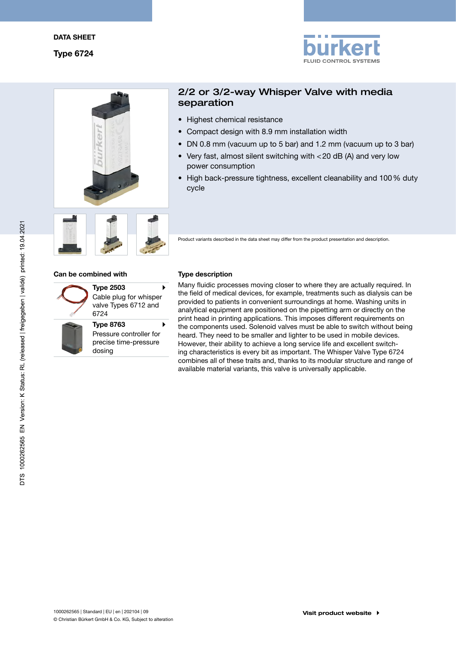



# 2/2 or 3/2-way Whisper Valve with media separation

- Highest chemical resistance
- Compact design with 8.9 mm installation width
- DN 0.8 mm (vacuum up to 5 bar) and 1.2 mm (vacuum up to 3 bar)
- Very fast, almost silent switching with  $<$  20 dB (A) and very low power consumption
- High back-pressure tightness, excellent cleanability and 100 % duty cycle



Product variants described in the data sheet may differ from the product presentation and description.

# Can be combined with Type description

í

| <b>Type 2503</b>       |  |
|------------------------|--|
| Cable plug for whisper |  |
| valve Types 6712 and   |  |
| 6724                   |  |

Type 8763 Pressure controller for precise time-pressure dosing

Many fluidic processes moving closer to where they are actually required. In the field of medical devices, for example, treatments such as dialysis can be provided to patients in convenient surroundings at home. Washing units in analytical equipment are positioned on the pipetting arm or directly on the print head in printing applications. This imposes different requirements on the components used. Solenoid valves must be able to switch without being heard. They need to be smaller and lighter to be used in mobile devices. However, their ability to achieve a long service life and excellent switching characteristics is every bit as important. The Whisper Valve Type 6724 combines all of these traits and, thanks to its modular structure and range of available material variants, this valve is universally applicable.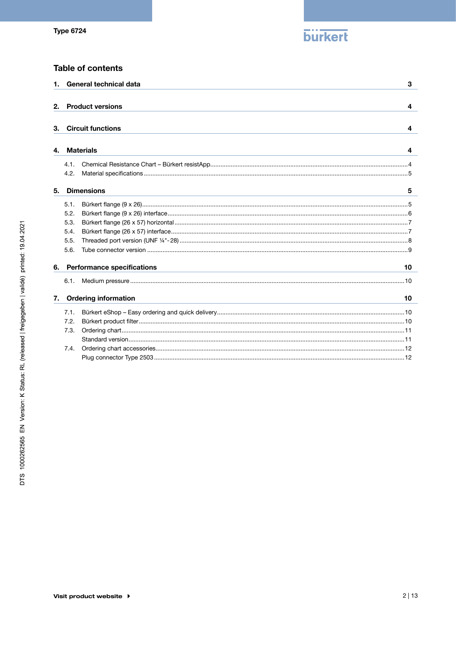

# **Table of contents**

|    | 1. General technical data<br>3 |                                                                                                                                                             |  |  |  |
|----|--------------------------------|-------------------------------------------------------------------------------------------------------------------------------------------------------------|--|--|--|
|    |                                |                                                                                                                                                             |  |  |  |
| 2. |                                | <b>Product versions</b><br>4                                                                                                                                |  |  |  |
|    |                                |                                                                                                                                                             |  |  |  |
| З. |                                | <b>Circuit functions</b><br>4                                                                                                                               |  |  |  |
|    |                                |                                                                                                                                                             |  |  |  |
| 4. |                                | <b>Materials</b><br>4                                                                                                                                       |  |  |  |
|    | 4.1.                           |                                                                                                                                                             |  |  |  |
|    | 4.2.                           |                                                                                                                                                             |  |  |  |
|    |                                |                                                                                                                                                             |  |  |  |
| 5. | <b>Dimensions</b><br>5         |                                                                                                                                                             |  |  |  |
|    | 5.1.                           |                                                                                                                                                             |  |  |  |
|    | 5.2.                           |                                                                                                                                                             |  |  |  |
|    | 5.3.                           |                                                                                                                                                             |  |  |  |
|    | 5.4.                           |                                                                                                                                                             |  |  |  |
|    | 5.5.                           |                                                                                                                                                             |  |  |  |
|    | 5.6.                           |                                                                                                                                                             |  |  |  |
|    |                                |                                                                                                                                                             |  |  |  |
| 6. |                                | <b>Performance specifications</b><br>10<br>and the control of the control of the control of the control of the control of the control of the control of the |  |  |  |
|    | 6.1.                           |                                                                                                                                                             |  |  |  |
| 7. |                                | <b>Ordering information</b><br>10                                                                                                                           |  |  |  |
|    | 7.1.                           |                                                                                                                                                             |  |  |  |
|    | 7.2.                           |                                                                                                                                                             |  |  |  |
|    | 7.3.                           |                                                                                                                                                             |  |  |  |
|    |                                |                                                                                                                                                             |  |  |  |
|    | 7.4.                           |                                                                                                                                                             |  |  |  |
|    |                                |                                                                                                                                                             |  |  |  |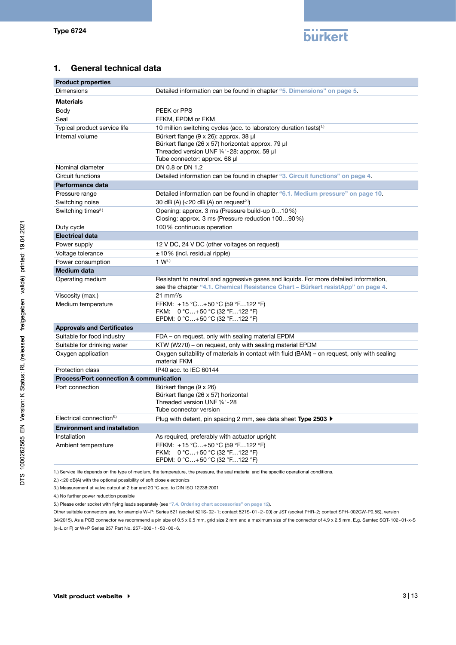

# 1. General technical data

| <b>Product properties</b>                          |                                                                                                                                                                          |  |
|----------------------------------------------------|--------------------------------------------------------------------------------------------------------------------------------------------------------------------------|--|
| <b>Dimensions</b>                                  | Detailed information can be found in chapter "5. Dimensions" on page 5.                                                                                                  |  |
| <b>Materials</b>                                   |                                                                                                                                                                          |  |
| Body                                               | PEEK or PPS                                                                                                                                                              |  |
| Seal                                               | FFKM, EPDM or FKM                                                                                                                                                        |  |
| Typical product service life                       | 10 million switching cycles (acc. to laboratory duration tests) <sup>1.)</sup>                                                                                           |  |
| Internal volume                                    | Bürkert flange (9 x 26): approx. 38 µl                                                                                                                                   |  |
|                                                    | Bürkert flange (26 x 57) horizontal: approx. 79 µl                                                                                                                       |  |
|                                                    | Threaded version UNF 1/4"-28: approx. 59 µl<br>Tube connector: approx. 68 µl                                                                                             |  |
| Nominal diameter                                   | DN 0.8 or DN 1.2                                                                                                                                                         |  |
| Circuit functions                                  | Detailed information can be found in chapter "3. Circuit functions" on page 4.                                                                                           |  |
| Performance data                                   |                                                                                                                                                                          |  |
| Pressure range                                     | Detailed information can be found in chapter "6.1. Medium pressure" on page 10.                                                                                          |  |
| Switching noise                                    | 30 dB (A) $(<$ 20 dB (A) on request <sup>2.)</sup>                                                                                                                       |  |
| Switching times <sup>3.)</sup>                     | Opening: approx. 3 ms (Pressure build-up 010%)                                                                                                                           |  |
|                                                    | Closing: approx. 3 ms (Pressure reduction 10090 %)                                                                                                                       |  |
| Duty cycle                                         | 100% continuous operation                                                                                                                                                |  |
| <b>Electrical data</b>                             |                                                                                                                                                                          |  |
| Power supply                                       | 12 V DC, 24 V DC (other voltages on request)                                                                                                                             |  |
| Voltage tolerance                                  | $\pm$ 10 % (incl. residual ripple)                                                                                                                                       |  |
| Power consumption                                  | 1 W <sup>4.1</sup>                                                                                                                                                       |  |
| <b>Medium data</b>                                 |                                                                                                                                                                          |  |
| Operating medium                                   | Resistant to neutral and aggressive gases and liquids. For more detailed information,<br>see the chapter "4.1. Chemical Resistance Chart – Bürkert resistApp" on page 4. |  |
| Viscosity (max.)                                   | $21 \text{ mm}^2/\text{s}$                                                                                                                                               |  |
| Medium temperature                                 | FFKM: +15 °C+50 °C (59 °F122 °F)                                                                                                                                         |  |
|                                                    | FKM: $0^{\circ}$ C+50 °C (32 °F122 °F)<br>EPDM: 0 °C+50 °C (32 °F122 °F)                                                                                                 |  |
| <b>Approvals and Certificates</b>                  |                                                                                                                                                                          |  |
| Suitable for food industry                         | FDA – on request, only with sealing material EPDM                                                                                                                        |  |
| Suitable for drinking water                        | KTW (W270) – on request, only with sealing material EPDM                                                                                                                 |  |
| Oxygen application                                 | Oxygen suitability of materials in contact with fluid (BAM) – on request, only with sealing                                                                              |  |
|                                                    | material FKM                                                                                                                                                             |  |
| Protection class                                   | IP40 acc. to IEC 60144                                                                                                                                                   |  |
| <b>Process/Port connection &amp; communication</b> |                                                                                                                                                                          |  |
| Port connection                                    | Bürkert flange (9 x 26)                                                                                                                                                  |  |
|                                                    | Bürkert flange (26 x 57) horizontal<br>Threaded version UNF 1/4"-28                                                                                                      |  |
|                                                    | Tube connector version                                                                                                                                                   |  |
| Electrical connection <sup>5.)</sup>               | Plug with detent, pin spacing 2 mm, see data sheet Type 2503 ▶                                                                                                           |  |
| <b>Environment and installation</b>                |                                                                                                                                                                          |  |
| Installation                                       | As required, preferably with actuator upright                                                                                                                            |  |
| Ambient temperature                                | FFKM: +15 °C+50 °C (59 °F122 °F)                                                                                                                                         |  |
|                                                    | FKM: 0 °C+50 °C (32 °F122 °F)                                                                                                                                            |  |
|                                                    | EPDM: $0 °C+50 °C$ (32 °F122 °F)                                                                                                                                         |  |

1.) Service life depends on the type of medium, the temperature, the pressure, the seal material and the specific operational conditions.

2.) <20 dB(A) with the optional possibility of soft close electronics

3.) Measurement at valve output at 2 bar and 20 °C acc. to DIN ISO 12238:2001

4.) No further power reduction possible

5.) Please order socket with flying leads separately (see "7.4. Ordering chart accessories" on page 12).

Other suitable connectors are, for example W+P: Series 521 (socket 521S-02-1; contact 521S-01-2-00) or JST (socket PHR-2; contact SPH-002GW-P0.5S), version

04/2015). As a PCB connector we recommend a pin size of 0.5 x 0.5 mm, grid size 2 mm and a maximum size of the connector of 4.9 x 2.5 mm. E.g. Samtec SQT-102-01-x-S (x=L or F) or W+P Series 257 Part No. 257-002-1-50-00-6.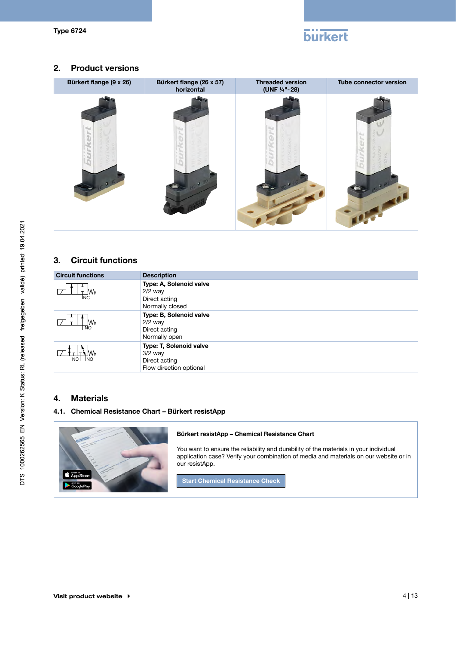

# 2. Product versions



# 3. Circuit functions

| <b>Circuit functions</b> | <b>Description</b>                                                               |
|--------------------------|----------------------------------------------------------------------------------|
| MV<br>INC.               | Type: A, Solenoid valve<br>$2/2$ way<br>Direct acting<br>Normally closed         |
| MV<br><b>NO</b>          | Type: B, Solenoid valve<br>$2/2$ way<br>Direct acting<br>Normally open           |
| WV.<br>NC NO             | Type: T, Solenoid valve<br>$3/2$ way<br>Direct acting<br>Flow direction optional |

# 4. Materials

# 4.1. Chemical Resistance Chart – Bürkert resistApp



#### Bürkert resistApp – Chemical Resistance Chart

You want to ensure the reliability and durability of the materials in your individual application case? Verify your combination of media and materials on our website or in our resistApp.

Start Chemical Resistance Check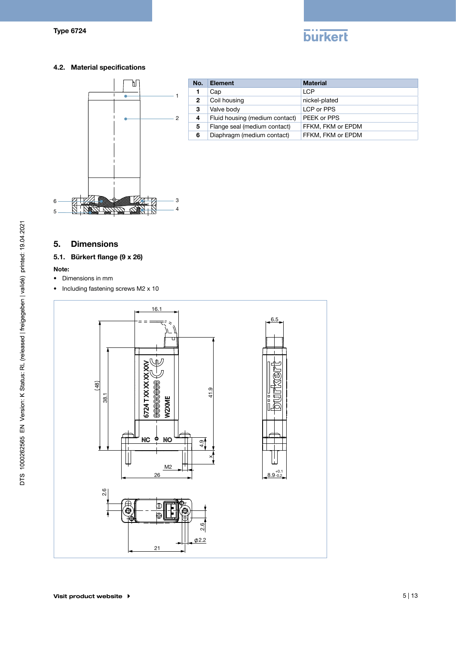# **burkert**

# 4.2. Material specifications



| No.            | <b>Element</b>                 | <b>Material</b>   |
|----------------|--------------------------------|-------------------|
|                | Cap                            | <b>LCP</b>        |
| $\overline{2}$ | Coil housing                   | nickel-plated     |
| 3              | Valve body                     | LCP or PPS        |
| 4              | Fluid housing (medium contact) | PEEK or PPS       |
| 5              | Flange seal (medium contact)   | FFKM, FKM or EPDM |
| 6              | Diaphragm (medium contact)     | FFKM, FKM or EPDM |

# 5. Dimensions

# 5.1. Bürkert flange (9 x 26)

#### Note:

- • Dimensions in mm
- Including fastening screws M2 x 10

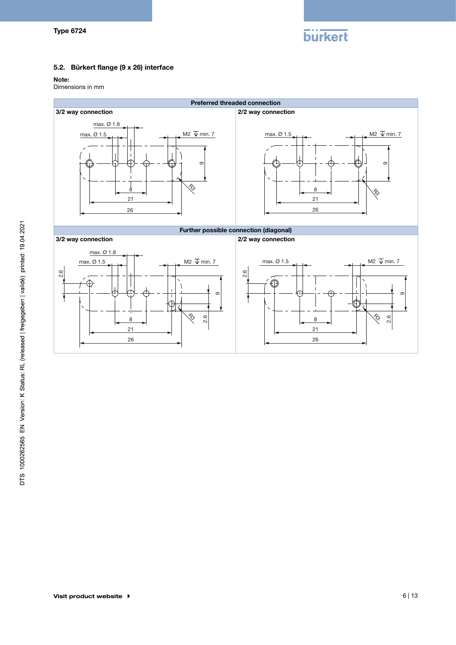

 8 21 È

 $\overline{26}$ 21

 8 21

# 5.2. Bürkert flange (9 x 26) interface

 $\overline{26}$ 

8

21

8

21

21

#### Note:

2.6

Dimensions in mm



2.6

2.6

9

 $\sigma$ 

9

9

 $\frac{1}{3}$ 

2.6

 $\overline{\phantom{a}}$ 

 $\overline{\phantom{a}}$ R3

 $\rightarrow$ 

₽

9

 $\sigma$ 

 2.6  $\frac{1}{3}$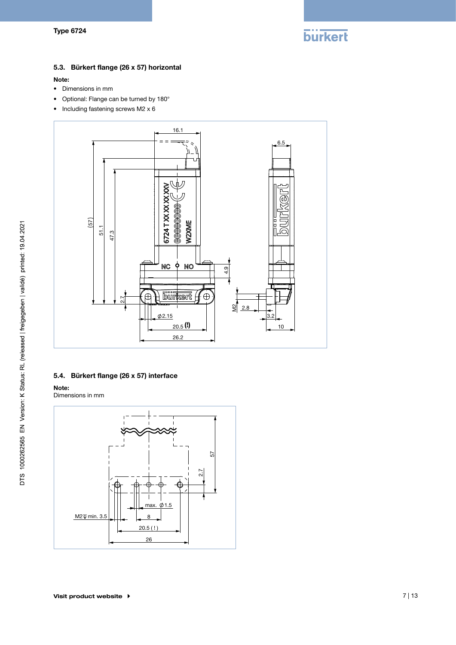

# 5.3. Bürkert flange (26 x 57) horizontal

#### Note:

- • Dimensions in mm
- • Optional: Flange can be turned by 180°
- Including fastening screws M2 x 6



# 5.4. Bürkert flange (26 x 57) interface

Note:

Dimensions in mm

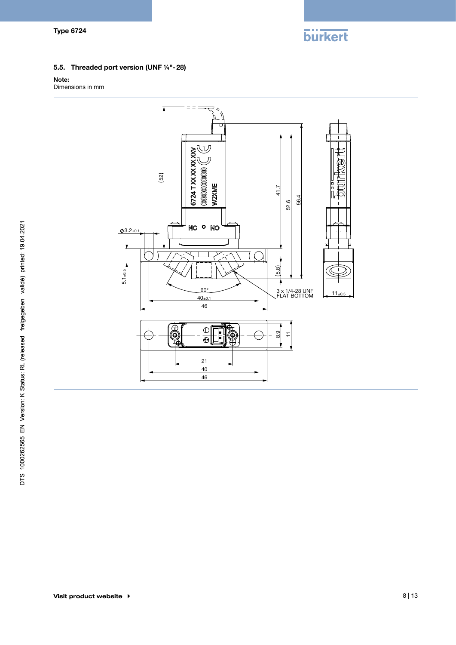

# 5.5. Threaded port version (UNF ¼"-28)

#### Note:

Dimensions in mm